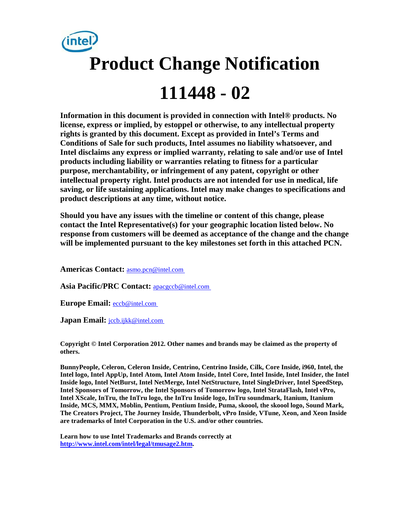

**Information in this document is provided in connection with Intel® products. No license, express or implied, by estoppel or otherwise, to any intellectual property rights is granted by this document. Except as provided in Intel's Terms and Conditions of Sale for such products, Intel assumes no liability whatsoever, and Intel disclaims any express or implied warranty, relating to sale and/or use of Intel products including liability or warranties relating to fitness for a particular purpose, merchantability, or infringement of any patent, copyright or other intellectual property right. Intel products are not intended for use in medical, life saving, or life sustaining applications. Intel may make changes to specifications and product descriptions at any time, without notice.** 

**Should you have any issues with the timeline or content of this change, please contact the Intel Representative(s) for your geographic location listed below. No response from customers will be deemed as acceptance of the change and the change will be implemented pursuant to the key milestones set forth in this attached PCN.** 

**Americas Contact:** [asmo.pcn@intel.com](mailto:asmo.pcn@intel.com) 

**Asia Pacific/PRC Contact:** [apacgccb@intel.com](mailto:apacgccb@intel.com) 

**Europe Email:** [eccb@intel.com](mailto:eccb@intel.com) 

Japan Email: **jccb.ijkk@intel.com** 

**Copyright © Intel Corporation 2012. Other names and brands may be claimed as the property of others.**

**BunnyPeople, Celeron, Celeron Inside, Centrino, Centrino Inside, Cilk, Core Inside, i960, Intel, the Intel logo, Intel AppUp, Intel Atom, Intel Atom Inside, Intel Core, Intel Inside, Intel Insider, the Intel Inside logo, Intel NetBurst, Intel NetMerge, Intel NetStructure, Intel SingleDriver, Intel SpeedStep, Intel Sponsors of Tomorrow, the Intel Sponsors of Tomorrow logo, Intel StrataFlash, Intel vPro, Intel XScale, InTru, the InTru logo, the InTru Inside logo, InTru soundmark, Itanium, Itanium Inside, MCS, MMX, Moblin, Pentium, Pentium Inside, Puma, skoool, the skoool logo, Sound Mark, The Creators Project, The Journey Inside, Thunderbolt, vPro Inside, VTune, Xeon, and Xeon Inside are trademarks of Intel Corporation in the U.S. and/or other countries.**

**Learn how to use Intel Trademarks and Brands correctly at [http://www.intel.com/intel/legal/tmusage2.htm.](http://www.intel.com/intel/legal/tmusage2.htm)**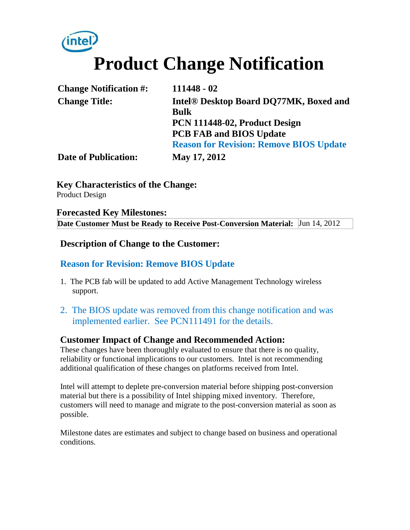# **Product Change Notification**

| <b>Change Notification #:</b> | $111448 - 02$                                      |
|-------------------------------|----------------------------------------------------|
| <b>Change Title:</b>          | Intel <sup>®</sup> Desktop Board DQ77MK, Boxed and |
|                               | <b>Bulk</b>                                        |
|                               | PCN 111448-02, Product Design                      |
|                               | <b>PCB FAB and BIOS Update</b>                     |
|                               | <b>Reason for Revision: Remove BIOS Update</b>     |
| <b>Date of Publication:</b>   | May 17, 2012                                       |

**Key Characteristics of the Change:**

Product Design

#### **Forecasted Key Milestones: Date Customer Must be Ready to Receive Post-Conversion Material:** Jun 14, 2012

#### **Description of Change to the Customer:**

### **Reason for Revision: Remove BIOS Update**

- 1. The PCB fab will be updated to add Active Management Technology wireless support.
- 2. The BIOS update was removed from this change notification and was implemented earlier. See PCN111491 for the details.

### **Customer Impact of Change and Recommended Action:**

These changes have been thoroughly evaluated to ensure that there is no quality, reliability or functional implications to our customers. Intel is not recommending additional qualification of these changes on platforms received from Intel.

Intel will attempt to deplete pre-conversion material before shipping post-conversion material but there is a possibility of Intel shipping mixed inventory. Therefore, customers will need to manage and migrate to the post-conversion material as soon as possible.

Milestone dates are estimates and subject to change based on business and operational conditions.